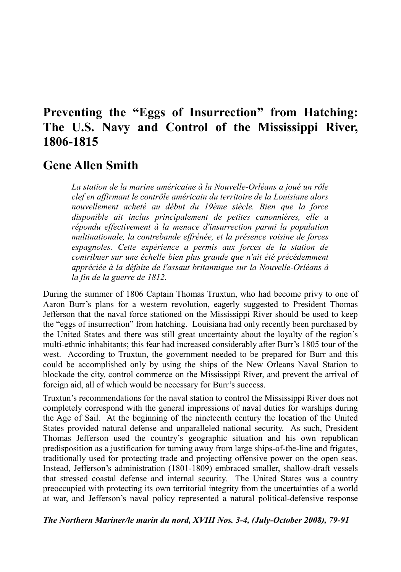## **Preventing the "Eggs of Insurrection" from Hatching: The U.S. Navy and Control of the Mississippi River, 1806-1815**

## **Gene Allen Smith**

*La station de la marine américaine à la Nouvelle-Orléans a joué un rôle clef en affirmant le contrôle américain du territoire de la Louisiane alors nouvellement acheté au début du 19ème siècle. Bien que la force disponible ait inclus principalement de petites canonnières, elle a répondu effectivement à la menace d'insurrection parmi la population multinationale, la contrebande effrénée, et la présence voisine de forces espagnoles. Cette expérience a permis aux forces de la station de contribuer sur une échelle bien plus grande que n'ait été précédemment appréciée à la défaite de l'assaut britannique sur la Nouvelle-Orléans à la fin de la guerre de 1812.*

During the summer of 1806 Captain Thomas Truxtun, who had become privy to one of Aaron Burr's plans for a western revolution, eagerly suggested to President Thomas Jefferson that the naval force stationed on the Mississippi River should be used to keep the "eggs of insurrection" from hatching. Louisiana had only recently been purchased by the United States and there was still great uncertainty about the loyalty of the region's multi-ethnic inhabitants; this fear had increased considerably after Burr's 1805 tour of the west. According to Truxtun, the government needed to be prepared for Burr and this could be accomplished only by using the ships of the New Orleans Naval Station to blockade the city, control commerce on the Mississippi River, and prevent the arrival of foreign aid, all of which would be necessary for Burr's success.

Truxtun's recommendations for the naval station to control the Mississippi River does not completely correspond with the general impressions of naval duties for warships during the Age of Sail. At the beginning of the nineteenth century the location of the United States provided natural defense and unparalleled national security. As such, President Thomas Jefferson used the country's geographic situation and his own republican predisposition as a justification for turning away from large ships-of-the-line and frigates, traditionally used for protecting trade and projecting offensive power on the open seas. Instead, Jefferson's administration (1801-1809) embraced smaller, shallow-draft vessels that stressed coastal defense and internal security. The United States was a country preoccupied with protecting its own territorial integrity from the uncertainties of a world at war, and Jefferson's naval policy represented a natural political-defensive response

*The Northern Mariner/le marin du nord, XVIII Nos. 3-4, (July-October 2008), 79-91*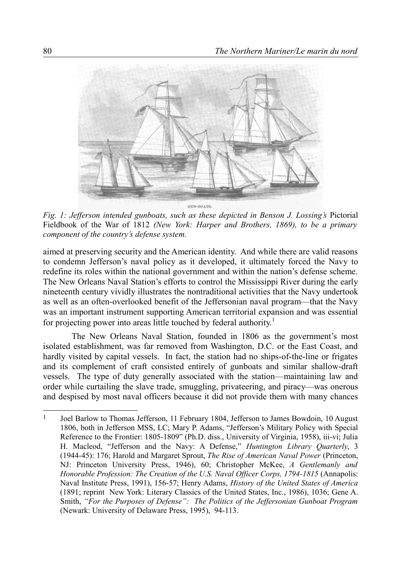

*Fig. 1: Jefferson intended gunboats, such as these depicted in Benson J. Lossing's* Pictorial Fieldbook of the War of 1812 *(New York: Harper and Brothers, 1869), to be a primary component of the country's defense system.*

aimed at preserving security and the American identity. And while there are valid reasons to condemn Jefferson's naval policy as it developed, it ultimately forced the Navy to redefine its roles within the national government and within the nation's defense scheme. The New Orleans Naval Station's efforts to control the Mississippi River during the early nineteenth century vividly illustrates the nontraditional activities that the Navy undertook as well as an often-overlooked benefit of the Jeffersonian naval program—that the Navy was an important instrument supporting American territorial expansion and was essential for projecting power into areas little touched by federal authority.<sup>[1](#page-1-0)</sup>

The New Orleans Naval Station, founded in 1806 as the government's most isolated establishment, was far removed from Washington, D.C. or the East Coast, and hardly visited by capital vessels. In fact, the station had no ships-of-the-line or frigates and its complement of craft consisted entirely of gunboats and similar shallow-draft vessels. The type of duty generally associated with the station—maintaining law and order while curtailing the slave trade, smuggling, privateering, and piracy—was onerous and despised by most naval officers because it did not provide them with many chances

<span id="page-1-0"></span><sup>1</sup> Joel Barlow to Thomas Jefferson, 11 February 1804, Jefferson to James Bowdoin, 10 August 1806, both in Jefferson MSS, LC; Mary P. Adams, "Jefferson's Military Policy with Special Reference to the Frontier: 1805-1809" (Ph.D. diss., University of Virginia, 1958), iii-vi; Julia H. Macleod, "Jefferson and the Navy: A Defense," *Huntington Library Quarterly*, 3 (1944-45): 176; Harold and Margaret Sprout, *The Rise of American Naval Power* (Princeton, NJ: Princeton University Press, 1946), 60; Christopher McKee, *A Gentlemanly and Honorable Profession: The Creation of the U.S. Naval Officer Corps, 1794-1815* (Annapolis: Naval Institute Press, 1991), 156-57; Henry Adams, *History of the United States of America* (1891; reprint New York: Literary Classics of the United States, Inc., 1986), 1036; Gene A. Smith, *"For the Purposes of Defense": The Politics of the Jeffersonian Gunboat Program* (Newark: University of Delaware Press, 1995), 94-113.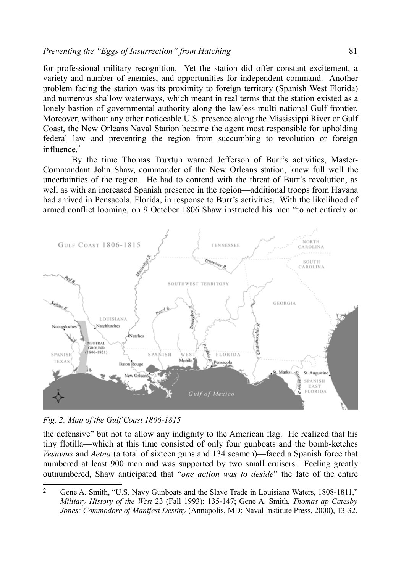for professional military recognition. Yet the station did offer constant excitement, a variety and number of enemies, and opportunities for independent command. Another problem facing the station was its proximity to foreign territory (Spanish West Florida) and numerous shallow waterways, which meant in real terms that the station existed as a lonely bastion of governmental authority along the lawless multi-national Gulf frontier. Moreover, without any other noticeable U.S. presence along the Mississippi River or Gulf Coast, the New Orleans Naval Station became the agent most responsible for upholding federal law and preventing the region from succumbing to revolution or foreign influence $2$ 

By the time Thomas Truxtun warned Jefferson of Burr's activities, Master-Commandant John Shaw, commander of the New Orleans station, knew full well the uncertainties of the region. He had to contend with the threat of Burr's revolution, as well as with an increased Spanish presence in the region—additional troops from Havana had arrived in Pensacola, Florida, in response to Burr's activities. With the likelihood of armed conflict looming, on 9 October 1806 Shaw instructed his men "to act entirely on



*Fig. 2: Map of the Gulf Coast 1806-1815*

the defensive" but not to allow any indignity to the American flag. He realized that his tiny flotilla—which at this time consisted of only four gunboats and the bomb-ketches *Vesuvius* and *Aetna* (a total of sixteen guns and 134 seamen)—faced a Spanish force that numbered at least 900 men and was supported by two small cruisers. Feeling greatly outnumbered, Shaw anticipated that "*one action was to deside*" the fate of the entire

<span id="page-2-0"></span><sup>2</sup> Gene A. Smith, "U.S. Navy Gunboats and the Slave Trade in Louisiana Waters, 1808-1811," *Military History of the West* 23 (Fall 1993): 135-147; Gene A. Smith, *Thomas ap Catesby Jones: Commodore of Manifest Destiny* (Annapolis, MD: Naval Institute Press, 2000), 13-32.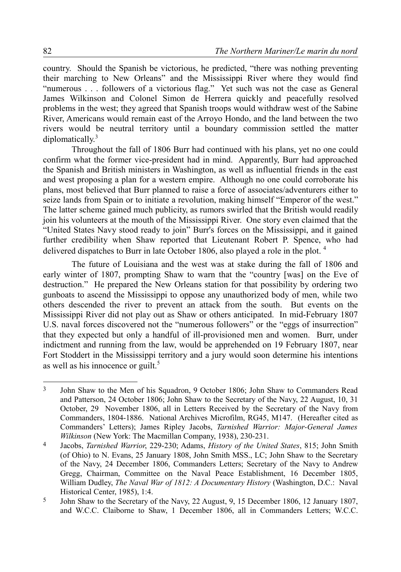country. Should the Spanish be victorious, he predicted, "there was nothing preventing their marching to New Orleans" and the Mississippi River where they would find "numerous . . . followers of a victorious flag." Yet such was not the case as General James Wilkinson and Colonel Simon de Herrera quickly and peacefully resolved problems in the west; they agreed that Spanish troops would withdraw west of the Sabine River, Americans would remain east of the Arroyo Hondo, and the land between the two rivers would be neutral territory until a boundary commission settled the matter  $diplomatically.<sup>3</sup>$  $diplomatically.<sup>3</sup>$  $diplomatically.<sup>3</sup>$ 

Throughout the fall of 1806 Burr had continued with his plans, yet no one could confirm what the former vice-president had in mind. Apparently, Burr had approached the Spanish and British ministers in Washington, as well as influential friends in the east and west proposing a plan for a western empire. Although no one could corroborate his plans, most believed that Burr planned to raise a force of associates/adventurers either to seize lands from Spain or to initiate a revolution, making himself "Emperor of the west." The latter scheme gained much publicity, as rumors swirled that the British would readily join his volunteers at the mouth of the Mississippi River. One story even claimed that the "United States Navy stood ready to join" Burr's forces on the Mississippi, and it gained further credibility when Shaw reported that Lieutenant Robert P. Spence, who had delivered dispatches to Burr in late October 1806, also played a role in the plot. [4](#page-3-1)

The future of Louisiana and the west was at stake during the fall of 1806 and early winter of 1807, prompting Shaw to warn that the "country [was] on the Eve of destruction." He prepared the New Orleans station for that possibility by ordering two gunboats to ascend the Mississippi to oppose any unauthorized body of men, while two others descended the river to prevent an attack from the south. But events on the Mississippi River did not play out as Shaw or others anticipated. In mid-February 1807 U.S. naval forces discovered not the "numerous followers" or the "eggs of insurrection" that they expected but only a handful of ill-provisioned men and women. Burr, under indictment and running from the law, would be apprehended on 19 February 1807, near Fort Stoddert in the Mississippi territory and a jury would soon determine his intentions as well as his innocence or guilt. $5$ 

<span id="page-3-0"></span><sup>3</sup> John Shaw to the Men of his Squadron, 9 October 1806; John Shaw to Commanders Read and Patterson, 24 October 1806; John Shaw to the Secretary of the Navy, 22 August, 10, 31 October, 29 November 1806, all in Letters Received by the Secretary of the Navy from Commanders, 1804-1886. National Archives Microfilm, RG45, M147. (Hereafter cited as Commanders' Letters); James Ripley Jacobs, *Tarnished Warrior: Major-General James Wilkinson* (New York: The Macmillan Company, 1938), 230-231.

<span id="page-3-1"></span><sup>4</sup> Jacobs, *Tarnished Warrior*, 229-230; Adams, *History of the United States*, 815; John Smith (of Ohio) to N. Evans, 25 January 1808, John Smith MSS., LC; John Shaw to the Secretary of the Navy, 24 December 1806, Commanders Letters; Secretary of the Navy to Andrew Gregg, Chairman, Committee on the Naval Peace Establishment, 16 December 1805, William Dudley, *The Naval War of 1812: A Documentary History* (Washington, D.C.: Naval Historical Center, 1985), 1:4.

<span id="page-3-2"></span><sup>5</sup> John Shaw to the Secretary of the Navy, 22 August, 9, 15 December 1806, 12 January 1807, and W.C.C. Claiborne to Shaw, 1 December 1806, all in Commanders Letters; W.C.C.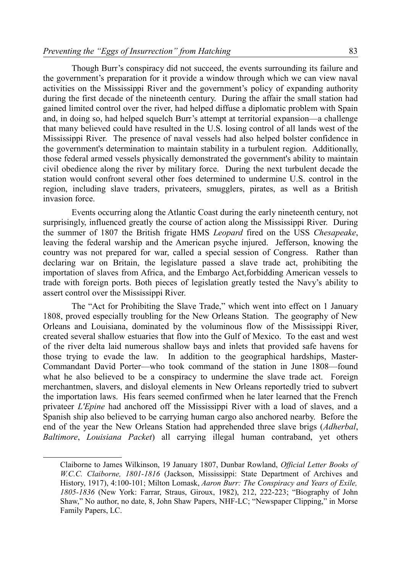Though Burr's conspiracy did not succeed, the events surrounding its failure and the government's preparation for it provide a window through which we can view naval activities on the Mississippi River and the government's policy of expanding authority during the first decade of the nineteenth century. During the affair the small station had gained limited control over the river, had helped diffuse a diplomatic problem with Spain and, in doing so, had helped squelch Burr's attempt at territorial expansion—a challenge that many believed could have resulted in the U.S. losing control of all lands west of the Mississippi River. The presence of naval vessels had also helped bolster confidence in the government's determination to maintain stability in a turbulent region. Additionally, those federal armed vessels physically demonstrated the government's ability to maintain civil obedience along the river by military force. During the next turbulent decade the station would confront several other foes determined to undermine U.S. control in the region, including slave traders, privateers, smugglers, pirates, as well as a British invasion force.

Events occurring along the Atlantic Coast during the early nineteenth century, not surprisingly, influenced greatly the course of action along the Mississippi River. During the summer of 1807 the British frigate HMS *Leopard* fired on the USS *Chesapeake*, leaving the federal warship and the American psyche injured. Jefferson, knowing the country was not prepared for war, called a special session of Congress. Rather than declaring war on Britain, the legislature passed a slave trade act, prohibiting the importation of slaves from Africa, and the Embargo Act,forbidding American vessels to trade with foreign ports. Both pieces of legislation greatly tested the Navy's ability to assert control over the Mississippi River.

The "Act for Prohibiting the Slave Trade," which went into effect on 1 January 1808, proved especially troubling for the New Orleans Station. The geography of New Orleans and Louisiana, dominated by the voluminous flow of the Mississippi River, created several shallow estuaries that flow into the Gulf of Mexico. To the east and west of the river delta laid numerous shallow bays and inlets that provided safe havens for those trying to evade the law. In addition to the geographical hardships, Master-Commandant David Porter—who took command of the station in June 1808—found what he also believed to be a conspiracy to undermine the slave trade act. Foreign merchantmen, slavers, and disloyal elements in New Orleans reportedly tried to subvert the importation laws. His fears seemed confirmed when he later learned that the French privateer *L'Epine* had anchored off the Mississippi River with a load of slaves, and a Spanish ship also believed to be carrying human cargo also anchored nearby. Before the end of the year the New Orleans Station had apprehended three slave brigs (*Adherbal*, *Baltimore*, *Louisiana Packet*) all carrying illegal human contraband, yet others

Claiborne to James Wilkinson, 19 January 1807, Dunbar Rowland, *Official Letter Books of W.C.C. Claiborne, 1801-1816* (Jackson, Mississippi: State Department of Archives and History, 1917), 4:100-101; Milton Lomask, *Aaron Burr: The Conspiracy and Years of Exile, 1805-1836* (New York: Farrar, Straus, Giroux, 1982), 212, 222-223; "Biography of John Shaw," No author, no date, 8, John Shaw Papers, NHF-LC; "Newspaper Clipping," in Morse Family Papers, LC.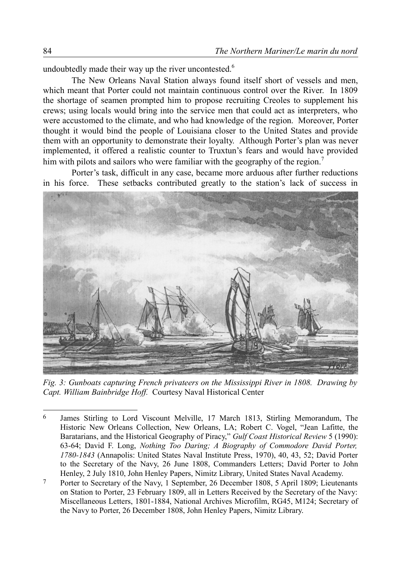undoubtedly made their way up the river uncontested. $6$ 

The New Orleans Naval Station always found itself short of vessels and men, which meant that Porter could not maintain continuous control over the River. In 1809 the shortage of seamen prompted him to propose recruiting Creoles to supplement his crews; using locals would bring into the service men that could act as interpreters, who were accustomed to the climate, and who had knowledge of the region. Moreover, Porter thought it would bind the people of Louisiana closer to the United States and provide them with an opportunity to demonstrate their loyalty. Although Porter's plan was never implemented, it offered a realistic counter to Truxtun's fears and would have provided him with pilots and sailors who were familiar with the geography of the region.<sup>[7](#page-5-1)</sup>

Porter's task, difficult in any case, became more arduous after further reductions in his force. These setbacks contributed greatly to the station's lack of success in



*Fig. 3: Gunboats capturing French privateers on the Mississippi River in 1808. Drawing by Capt. William Bainbridge Hoff.* Courtesy Naval Historical Center

<span id="page-5-0"></span><sup>6</sup> James Stirling to Lord Viscount Melville, 17 March 1813, Stirling Memorandum, The Historic New Orleans Collection, New Orleans, LA; Robert C. Vogel, "Jean Lafitte, the Baratarians, and the Historical Geography of Piracy," *Gulf Coast Historical Review* 5 (1990): 63-64; David F. Long, *Nothing Too Daring; A Biography of Commodore David Porter, 1780-1843* (Annapolis: United States Naval Institute Press, 1970), 40, 43, 52; David Porter to the Secretary of the Navy, 26 June 1808, Commanders Letters; David Porter to John Henley, 2 July 1810, John Henley Papers, Nimitz Library, United States Naval Academy.

<span id="page-5-1"></span><sup>7</sup> Porter to Secretary of the Navy, 1 September, 26 December 1808, 5 April 1809; Lieutenants on Station to Porter, 23 February 1809, all in Letters Received by the Secretary of the Navy: Miscellaneous Letters, 1801-1884, National Archives Microfilm, RG45, M124; Secretary of the Navy to Porter, 26 December 1808, John Henley Papers, Nimitz Library.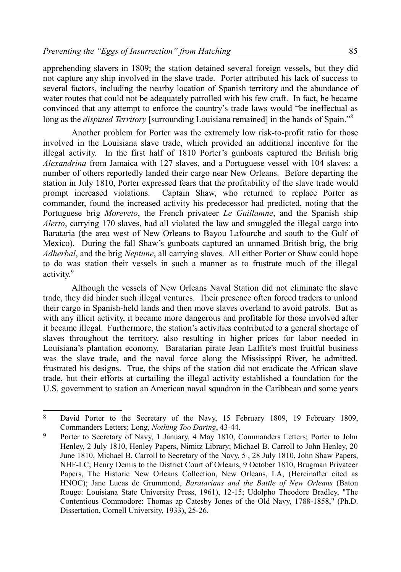apprehending slavers in 1809; the station detained several foreign vessels, but they did not capture any ship involved in the slave trade. Porter attributed his lack of success to several factors, including the nearby location of Spanish territory and the abundance of water routes that could not be adequately patrolled with his few craft. In fact, he became convinced that any attempt to enforce the country's trade laws would "be ineffectual as long as the *disputed Territory* [surrounding Louisiana remained] in the hands of Spain."<sup>[8](#page-6-0)</sup>

Another problem for Porter was the extremely low risk-to-profit ratio for those involved in the Louisiana slave trade, which provided an additional incentive for the illegal activity. In the first half of 1810 Porter's gunboats captured the British brig *Alexandrina* from Jamaica with 127 slaves, and a Portuguese vessel with 104 slaves; a number of others reportedly landed their cargo near New Orleans. Before departing the station in July 1810, Porter expressed fears that the profitability of the slave trade would prompt increased violations. Captain Shaw, who returned to replace Porter as commander, found the increased activity his predecessor had predicted, noting that the Portuguese brig *Moreveto*, the French privateer *Le Guillamne*, and the Spanish ship *Alerto*, carrying 170 slaves, had all violated the law and smuggled the illegal cargo into Barataria (the area west of New Orleans to Bayou Lafourche and south to the Gulf of Mexico). During the fall Shaw's gunboats captured an unnamed British brig, the brig *Adherbal*, and the brig *Neptune*, all carrying slaves. All either Porter or Shaw could hope to do was station their vessels in such a manner as to frustrate much of the illegal activity.<sup>[9](#page-6-1)</sup>

Although the vessels of New Orleans Naval Station did not eliminate the slave trade, they did hinder such illegal ventures. Their presence often forced traders to unload their cargo in Spanish-held lands and then move slaves overland to avoid patrols. But as with any illicit activity, it became more dangerous and profitable for those involved after it became illegal. Furthermore, the station's activities contributed to a general shortage of slaves throughout the territory, also resulting in higher prices for labor needed in Louisiana's plantation economy. Baratarian pirate Jean Laffite's most fruitful business was the slave trade, and the naval force along the Mississippi River, he admitted, frustrated his designs. True, the ships of the station did not eradicate the African slave trade, but their efforts at curtailing the illegal activity established a foundation for the U.S. government to station an American naval squadron in the Caribbean and some years

<span id="page-6-0"></span><sup>8</sup> David Porter to the Secretary of the Navy, 15 February 1809, 19 February 1809, Commanders Letters; Long, *Nothing Too Daring*, 43-44.

<span id="page-6-1"></span><sup>&</sup>lt;sup>9</sup> Porter to Secretary of Navy, 1 January, 4 May 1810, Commanders Letters; Porter to John Henley, 2 July 1810, Henley Papers, Nimitz Library; Michael B. Carroll to John Henley, 20 June 1810, Michael B. Carroll to Secretary of the Navy, 5 , 28 July 1810, John Shaw Papers, NHF-LC; Henry Demis to the District Court of Orleans, 9 October 1810, Brugman Privateer Papers, The Historic New Orleans Collection, New Orleans, LA, (Hereinafter cited as HNOC); Jane Lucas de Grummond, *Baratarians and the Battle of New Orleans* (Baton Rouge: Louisiana State University Press, 1961), 12-15; Udolpho Theodore Bradley, "The Contentious Commodore: Thomas ap Catesby Jones of the Old Navy, 1788-1858," (Ph.D. Dissertation, Cornell University, 1933), 25-26.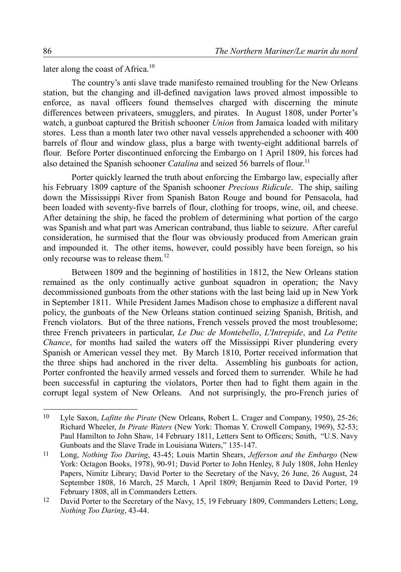later along the coast of Africa.<sup>[10](#page-7-0)</sup>

The country's anti slave trade manifesto remained troubling for the New Orleans station, but the changing and ill-defined navigation laws proved almost impossible to enforce, as naval officers found themselves charged with discerning the minute differences between privateers, smugglers, and pirates. In August 1808, under Porter's watch, a gunboat captured the British schooner *Union* from Jamaica loaded with military stores. Less than a month later two other naval vessels apprehended a schooner with 400 barrels of flour and window glass, plus a barge with twenty-eight additional barrels of flour. Before Porter discontinued enforcing the Embargo on 1 April 1809, his forces had also detained the Spanish schooner *Catalina* and seized 56 barrels of flour.<sup>[11](#page-7-1)</sup>

Porter quickly learned the truth about enforcing the Embargo law, especially after his February 1809 capture of the Spanish schooner *Precious Ridicule*. The ship, sailing down the Mississippi River from Spanish Baton Rouge and bound for Pensacola, had been loaded with seventy-five barrels of flour, clothing for troops, wine, oil, and cheese. After detaining the ship, he faced the problem of determining what portion of the cargo was Spanish and what part was American contraband, thus liable to seizure. After careful consideration, he surmised that the flour was obviously produced from American grain and impounded it. The other items, however, could possibly have been foreign, so his only recourse was to release them.<sup>[12](#page-7-2)</sup>

Between 1809 and the beginning of hostilities in 1812, the New Orleans station remained as the only continually active gunboat squadron in operation; the Navy decommissioned gunboats from the other stations with the last being laid up in New York in September 1811. While President James Madison chose to emphasize a different naval policy, the gunboats of the New Orleans station continued seizing Spanish, British, and French violators. But of the three nations, French vessels proved the most troublesome; three French privateers in particular, *Le Duc de Montebello*, *L'Intrepide*, and *La Petite Chance*, for months had sailed the waters off the Mississippi River plundering every Spanish or American vessel they met. By March 1810, Porter received information that the three ships had anchored in the river delta. Assembling his gunboats for action, Porter confronted the heavily armed vessels and forced them to surrender. While he had been successful in capturing the violators, Porter then had to fight them again in the corrupt legal system of New Orleans. And not surprisingly, the pro-French juries of

<span id="page-7-0"></span><sup>10</sup> Lyle Saxon, *Lafitte the Pirate* (New Orleans, Robert L. Crager and Company, 1950), 25-26; Richard Wheeler, *In Pirate Waters* (New York: Thomas Y. Crowell Company, 1969), 52-53; Paul Hamilton to John Shaw, 14 February 1811, Letters Sent to Officers; Smith, "U.S. Navy Gunboats and the Slave Trade in Louisiana Waters," 135-147.

<span id="page-7-1"></span><sup>11</sup> Long, *Nothing Too Daring*, 43-45; Louis Martin Shears, *Jefferson and the Embargo* (New York: Octagon Books, 1978), 90-91; David Porter to John Henley, 8 July 1808, John Henley Papers, Nimitz Library; David Porter to the Secretary of the Navy, 26 June, 26 August, 24 September 1808, 16 March, 25 March, 1 April 1809; Benjamin Reed to David Porter, 19 February 1808, all in Commanders Letters.

<span id="page-7-2"></span><sup>&</sup>lt;sup>12</sup> David Porter to the Secretary of the Navy, 15, 19 February 1809, Commanders Letters; Long, *Nothing Too Daring*, 43-44.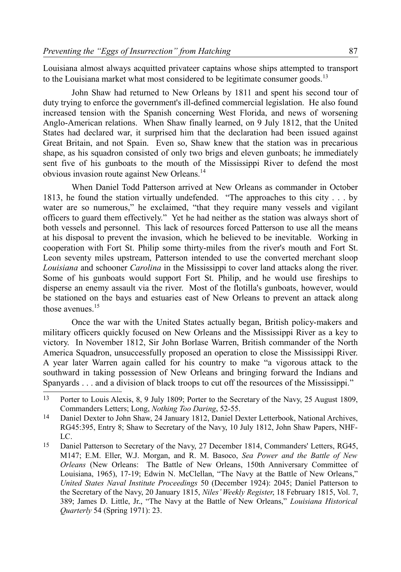Louisiana almost always acquitted privateer captains whose ships attempted to transport to the Louisiana market what most considered to be legitimate consumer goods.<sup>[13](#page-8-0)</sup>

John Shaw had returned to New Orleans by 1811 and spent his second tour of duty trying to enforce the government's ill-defined commercial legislation. He also found increased tension with the Spanish concerning West Florida, and news of worsening Anglo-American relations. When Shaw finally learned, on 9 July 1812, that the United States had declared war, it surprised him that the declaration had been issued against Great Britain, and not Spain. Even so, Shaw knew that the station was in precarious shape, as his squadron consisted of only two brigs and eleven gunboats; he immediately sent five of his gunboats to the mouth of the Mississippi River to defend the most obvious invasion route against New Orleans.<sup>[14](#page-8-1)</sup>

When Daniel Todd Patterson arrived at New Orleans as commander in October 1813, he found the station virtually undefended. "The approaches to this city . . . by water are so numerous," he exclaimed, "that they require many vessels and vigilant officers to guard them effectively." Yet he had neither as the station was always short of both vessels and personnel. This lack of resources forced Patterson to use all the means at his disposal to prevent the invasion, which he believed to be inevitable. Working in cooperation with Fort St. Philip some thirty-miles from the river's mouth and Fort St. Leon seventy miles upstream, Patterson intended to use the converted merchant sloop *Louisiana* and schooner *Carolina* in the Mississippi to cover land attacks along the river. Some of his gunboats would support Fort St. Philip, and he would use fireships to disperse an enemy assault via the river. Most of the flotilla's gunboats, however, would be stationed on the bays and estuaries east of New Orleans to prevent an attack along those avenues.<sup>[15](#page-8-2)</sup>

Once the war with the United States actually began, British policy-makers and military officers quickly focused on New Orleans and the Mississippi River as a key to victory. In November 1812, Sir John Borlase Warren, British commander of the North America Squadron, unsuccessfully proposed an operation to close the Mississippi River. A year later Warren again called for his country to make "a vigorous attack to the southward in taking possession of New Orleans and bringing forward the Indians and Spanyards . . . and a division of black troops to cut off the resources of the Mississippi."

<span id="page-8-0"></span><sup>13</sup> Porter to Louis Alexis, 8, 9 July 1809; Porter to the Secretary of the Navy, 25 August 1809, Commanders Letters; Long, *Nothing Too Daring*, 52-55.

<span id="page-8-1"></span><sup>14</sup> Daniel Dexter to John Shaw, 24 January 1812, Daniel Dexter Letterbook, National Archives, RG45:395, Entry 8; Shaw to Secretary of the Navy, 10 July 1812, John Shaw Papers, NHF-LC.

<span id="page-8-2"></span><sup>15</sup> Daniel Patterson to Secretary of the Navy, 27 December 1814, Commanders' Letters, RG45, M147; E.M. Eller, W.J. Morgan, and R. M. Basoco, *Sea Power and the Battle of New Orleans* (New Orleans: The Battle of New Orleans, 150th Anniversary Committee of Louisiana, 1965), 17-19; Edwin N. McClellan, "The Navy at the Battle of New Orleans," *United States Naval Institute Proceedings* 50 (December 1924): 2045; Daniel Patterson to the Secretary of the Navy, 20 January 1815, *Niles' Weekly Register*, 18 February 1815, Vol. 7, 389; James D. Little, Jr., "The Navy at the Battle of New Orleans," *Louisiana Historical Quarterly* 54 (Spring 1971): 23.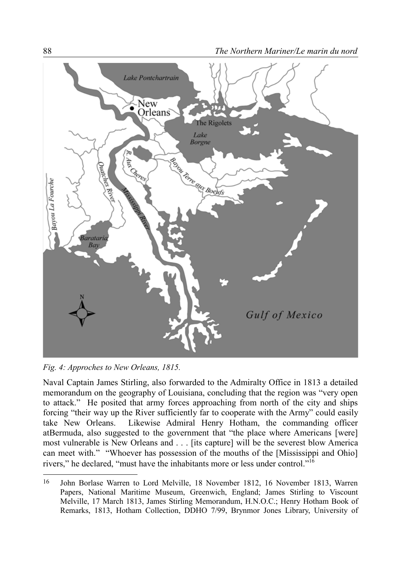

*Fig. 4: Approches to New Orleans, 1815.*

Naval Captain James Stirling, also forwarded to the Admiralty Office in 1813 a detailed memorandum on the geography of Louisiana, concluding that the region was "very open to attack." He posited that army forces approaching from north of the city and ships forcing "their way up the River sufficiently far to cooperate with the Army" could easily take New Orleans. Likewise Admiral Henry Hotham, the commanding officer atBermuda, also suggested to the government that "the place where Americans [were] most vulnerable is New Orleans and . . . [its capture] will be the severest blow America can meet with." "Whoever has possession of the mouths of the [Mississippi and Ohio] rivers," he declared, "must have the inhabitants more or less under control."[16](#page-9-0)

<span id="page-9-0"></span><sup>16</sup> John Borlase Warren to Lord Melville, 18 November 1812, 16 November 1813, Warren Papers, National Maritime Museum, Greenwich, England; James Stirling to Viscount Melville, 17 March 1813, James Stirling Memorandum, H.N.O.C.; Henry Hotham Book of Remarks, 1813, Hotham Collection, DDHO 7/99, Brynmor Jones Library, University of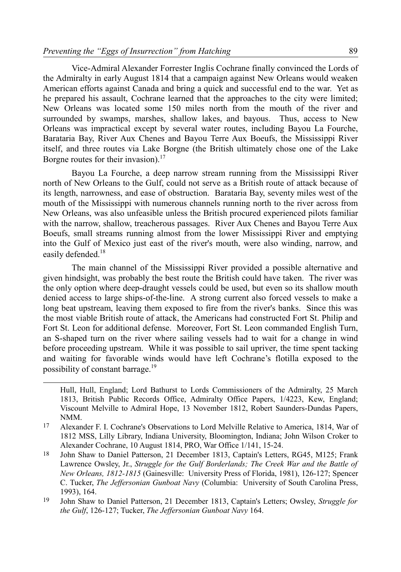Vice-Admiral Alexander Forrester Inglis Cochrane finally convinced the Lords of the Admiralty in early August 1814 that a campaign against New Orleans would weaken American efforts against Canada and bring a quick and successful end to the war. Yet as he prepared his assault, Cochrane learned that the approaches to the city were limited; New Orleans was located some 150 miles north from the mouth of the river and surrounded by swamps, marshes, shallow lakes, and bayous. Thus, access to New Orleans was impractical except by several water routes, including Bayou La Fourche, Barataria Bay, River Aux Chenes and Bayou Terre Aux Boeufs, the Mississippi River itself, and three routes via Lake Borgne (the British ultimately chose one of the Lake Borgne routes for their invasion).<sup>[17](#page-10-0)</sup>

Bayou La Fourche, a deep narrow stream running from the Mississippi River north of New Orleans to the Gulf, could not serve as a British route of attack because of its length, narrowness, and ease of obstruction. Barataria Bay, seventy miles west of the mouth of the Mississippi with numerous channels running north to the river across from New Orleans, was also unfeasible unless the British procured experienced pilots familiar with the narrow, shallow, treacherous passages. River Aux Chenes and Bayou Terre Aux Boeufs, small streams running almost from the lower Mississippi River and emptying into the Gulf of Mexico just east of the river's mouth, were also winding, narrow, and easily defended.<sup>[18](#page-10-1)</sup>

The main channel of the Mississippi River provided a possible alternative and given hindsight, was probably the best route the British could have taken. The river was the only option where deep-draught vessels could be used, but even so its shallow mouth denied access to large ships-of-the-line. A strong current also forced vessels to make a long beat upstream, leaving them exposed to fire from the river's banks. Since this was the most viable British route of attack, the Americans had constructed Fort St. Philip and Fort St. Leon for additional defense. Moreover, Fort St. Leon commanded English Turn, an S-shaped turn on the river where sailing vessels had to wait for a change in wind before proceeding upstream. While it was possible to sail upriver, the time spent tacking and waiting for favorable winds would have left Cochrane's flotilla exposed to the possibility of constant barrage.<sup>[19](#page-10-2)</sup>

Hull, Hull, England; Lord Bathurst to Lords Commissioners of the Admiralty, 25 March 1813, British Public Records Office, Admiralty Office Papers, 1/4223, Kew, England; Viscount Melville to Admiral Hope, 13 November 1812, Robert Saunders-Dundas Papers, NMM.

<span id="page-10-0"></span><sup>17</sup> Alexander F. I. Cochrane's Observations to Lord Melville Relative to America, 1814, War of 1812 MSS, Lilly Library, Indiana University, Bloomington, Indiana; John Wilson Croker to Alexander Cochrane, 10 August 1814, PRO, War Office 1/141, 15-24.

<span id="page-10-1"></span><sup>18</sup> John Shaw to Daniel Patterson, 21 December 1813, Captain's Letters, RG45, M125; Frank Lawrence Owsley, Jr., *Struggle for the Gulf Borderlands; The Creek War and the Battle of New Orleans, 1812-1815* (Gainesville: University Press of Florida, 1981), 126-127; Spencer C. Tucker, *The Jeffersonian Gunboat Navy* (Columbia: University of South Carolina Press, 1993), 164.

<span id="page-10-2"></span><sup>19</sup> John Shaw to Daniel Patterson, 21 December 1813, Captain's Letters; Owsley, *Struggle for the Gulf*, 126-127; Tucker, *The Jeffersonian Gunboat Navy* 164.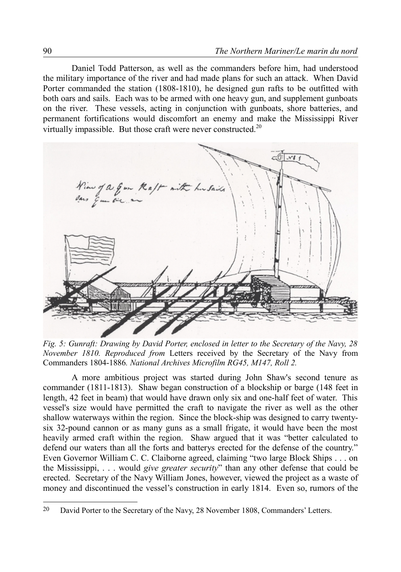Daniel Todd Patterson, as well as the commanders before him, had understood the military importance of the river and had made plans for such an attack. When David Porter commanded the station (1808-1810), he designed gun rafts to be outfitted with both oars and sails. Each was to be armed with one heavy gun, and supplement gunboats on the river. These vessels, acting in conjunction with gunboats, shore batteries, and permanent fortifications would discomfort an enemy and make the Mississippi River virtually impassible. But those craft were never constructed.<sup>[20](#page-11-0)</sup>



*Fig. 5: Gunraft: Drawing by David Porter, enclosed in letter to the Secretary of the Navy, 28 November 1810. Reproduced from* Letters received by the Secretary of the Navy from Commanders 1804-1886*. National Archives Microfilm RG45, M147, Roll 2.* 

A more ambitious project was started during John Shaw's second tenure as commander (1811-1813). Shaw began construction of a blockship or barge (148 feet in length, 42 feet in beam) that would have drawn only six and one-half feet of water. This vessel's size would have permitted the craft to navigate the river as well as the other shallow waterways within the region. Since the block-ship was designed to carry twentysix 32-pound cannon or as many guns as a small frigate, it would have been the most heavily armed craft within the region. Shaw argued that it was "better calculated to defend our waters than all the forts and batterys erected for the defense of the country." Even Governor William C. C. Claiborne agreed, claiming "two large Block Ships . . . on the Mississippi, . . . would *give greater security*" than any other defense that could be erected. Secretary of the Navy William Jones, however, viewed the project as a waste of money and discontinued the vessel's construction in early 1814. Even so, rumors of the

<span id="page-11-0"></span><sup>20</sup> David Porter to the Secretary of the Navy, 28 November 1808, Commanders' Letters.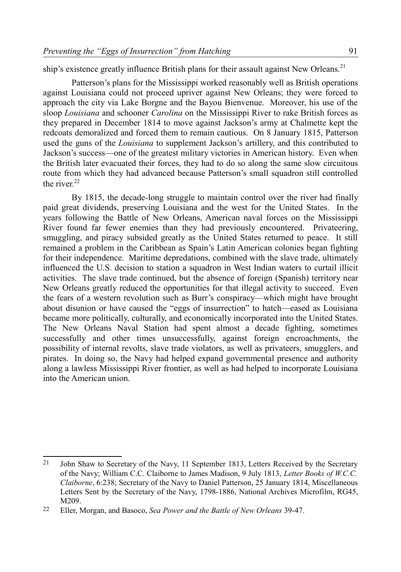ship's existence greatly influence British plans for their assault against New Orleans.<sup>[21](#page-12-0)</sup>

Patterson's plans for the Mississippi worked reasonably well as British operations against Louisiana could not proceed upriver against New Orleans; they were forced to approach the city via Lake Borgne and the Bayou Bienvenue. Moreover, his use of the sloop *Louisiana* and schooner *Carolina* on the Mississippi River to rake British forces as they prepared in December 1814 to move against Jackson's army at Chalmette kept the redcoats demoralized and forced them to remain cautious. On 8 January 1815, Patterson used the guns of the *Louisiana* to supplement Jackson's artillery, and this contributed to Jackson's success—one of the greatest military victories in American history. Even when the British later evacuated their forces, they had to do so along the same slow circuitous route from which they had advanced because Patterson's small squadron still controlled the river $22$ 

By 1815, the decade-long struggle to maintain control over the river had finally paid great dividends, preserving Louisiana and the west for the United States. In the years following the Battle of New Orleans, American naval forces on the Mississippi River found far fewer enemies than they had previously encountered. Privateering, smuggling, and piracy subsided greatly as the United States returned to peace. It still remained a problem in the Caribbean as Spain's Latin American colonies began fighting for their independence. Maritime depredations, combined with the slave trade, ultimately influenced the U.S. decision to station a squadron in West Indian waters to curtail illicit activities. The slave trade continued, but the absence of foreign (Spanish) territory near New Orleans greatly reduced the opportunities for that illegal activity to succeed. Even the fears of a western revolution such as Burr's conspiracy—which might have brought about disunion or have caused the "eggs of insurrection" to hatch—eased as Louisiana became more politically, culturally, and economically incorporated into the United States. The New Orleans Naval Station had spent almost a decade fighting, sometimes successfully and other times unsuccessfully, against foreign encroachments, the possibility of internal revolts, slave trade violators, as well as privateers, smugglers, and pirates. In doing so, the Navy had helped expand governmental presence and authority along a lawless Mississippi River frontier, as well as had helped to incorporate Louisiana into the American union.

<span id="page-12-0"></span><sup>&</sup>lt;sup>21</sup> John Shaw to Secretary of the Navy, 11 September 1813, Letters Received by the Secretary of the Navy; William C.C. Claiborne to James Madison, 9 July 1813, *Letter Books of W.C.C. Claiborne*, 6:238; Secretary of the Navy to Daniel Patterson, 25 January 1814, Miscellaneous Letters Sent by the Secretary of the Navy, 1798-1886, National Archives Microfilm, RG45, M209.

<span id="page-12-1"></span><sup>22</sup> Eller, Morgan, and Basoco, *Sea Power and the Battle of New Orleans* 39-47.